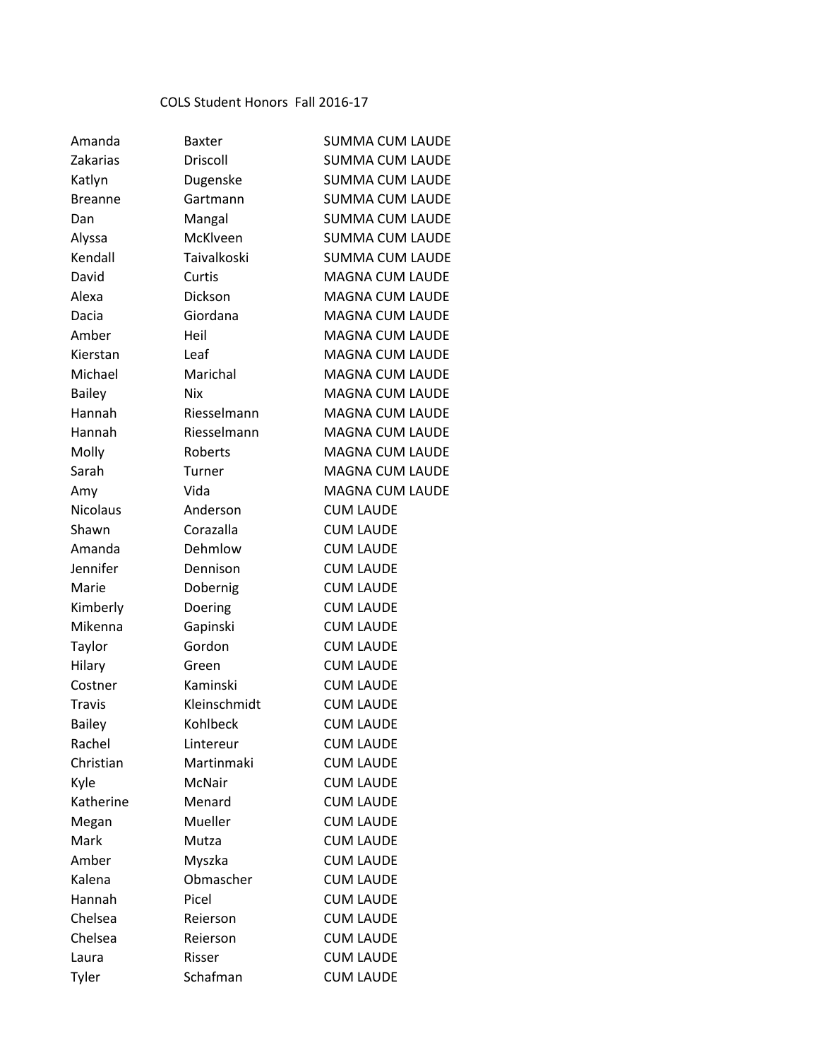## COLS Student Honors Fall 2016-17

| Amanda          | <b>Baxter</b>   | <b>SUMMA CUM LAUDE</b> |  |
|-----------------|-----------------|------------------------|--|
| Zakarias        | <b>Driscoll</b> | <b>SUMMA CUM LAUDE</b> |  |
| Katlyn          | Dugenske        | <b>SUMMA CUM LAUDE</b> |  |
| <b>Breanne</b>  | Gartmann        | <b>SUMMA CUM LAUDE</b> |  |
| Dan             | Mangal          | <b>SUMMA CUM LAUDE</b> |  |
| Alyssa          | McKlveen        | <b>SUMMA CUM LAUDE</b> |  |
| Kendall         | Taivalkoski     | <b>SUMMA CUM LAUDE</b> |  |
| David           | Curtis          | <b>MAGNA CUM LAUDE</b> |  |
| Alexa           | Dickson         | MAGNA CUM LAUDE        |  |
| Dacia           | Giordana        | <b>MAGNA CUM LAUDE</b> |  |
| Amber           | Heil            | <b>MAGNA CUM LAUDE</b> |  |
| Kierstan        | Leaf            | <b>MAGNA CUM LAUDE</b> |  |
| Michael         | Marichal        | <b>MAGNA CUM LAUDE</b> |  |
| <b>Bailey</b>   | <b>Nix</b>      | <b>MAGNA CUM LAUDE</b> |  |
| Hannah          | Riesselmann     | <b>MAGNA CUM LAUDE</b> |  |
| Hannah          | Riesselmann     | <b>MAGNA CUM LAUDE</b> |  |
| Molly           | <b>Roberts</b>  | <b>MAGNA CUM LAUDE</b> |  |
| Sarah           | Turner          | <b>MAGNA CUM LAUDE</b> |  |
| Amy             | Vida            | <b>MAGNA CUM LAUDE</b> |  |
| <b>Nicolaus</b> | Anderson        | <b>CUM LAUDE</b>       |  |
| Shawn           | Corazalla       | <b>CUM LAUDE</b>       |  |
| Amanda          | Dehmlow         | <b>CUM LAUDE</b>       |  |
| Jennifer        | Dennison        | <b>CUM LAUDE</b>       |  |
| Marie           | Dobernig        | <b>CUM LAUDE</b>       |  |
| Kimberly        | Doering         | <b>CUM LAUDE</b>       |  |
| Mikenna         | Gapinski        | <b>CUM LAUDE</b>       |  |
| Taylor          | Gordon          | <b>CUM LAUDE</b>       |  |
| Hilary          | Green           | <b>CUM LAUDE</b>       |  |
| Costner         | Kaminski        | <b>CUM LAUDE</b>       |  |
| <b>Travis</b>   | Kleinschmidt    | <b>CUM LAUDE</b>       |  |
| <b>Bailey</b>   | Kohlbeck        | <b>CUM LAUDE</b>       |  |
| Rachel          | Lintereur       | <b>CUM LAUDE</b>       |  |
| Christian       | Martinmaki      | <b>CUM LAUDE</b>       |  |
| Kyle            | McNair          | <b>CUM LAUDE</b>       |  |
| Katherine       | Menard          | <b>CUM LAUDE</b>       |  |
| Megan           | Mueller         | <b>CUM LAUDE</b>       |  |
| Mark            | Mutza           | <b>CUM LAUDE</b>       |  |
| Amber           | Myszka          | <b>CUM LAUDE</b>       |  |
| Kalena          | Obmascher       | <b>CUM LAUDE</b>       |  |
| Hannah          | Picel           | <b>CUM LAUDE</b>       |  |
| Chelsea         | Reierson        | <b>CUM LAUDE</b>       |  |
| Chelsea         | Reierson        | <b>CUM LAUDE</b>       |  |
| Laura           | Risser          | <b>CUM LAUDE</b>       |  |
| Tyler           | Schafman        | <b>CUM LAUDE</b>       |  |